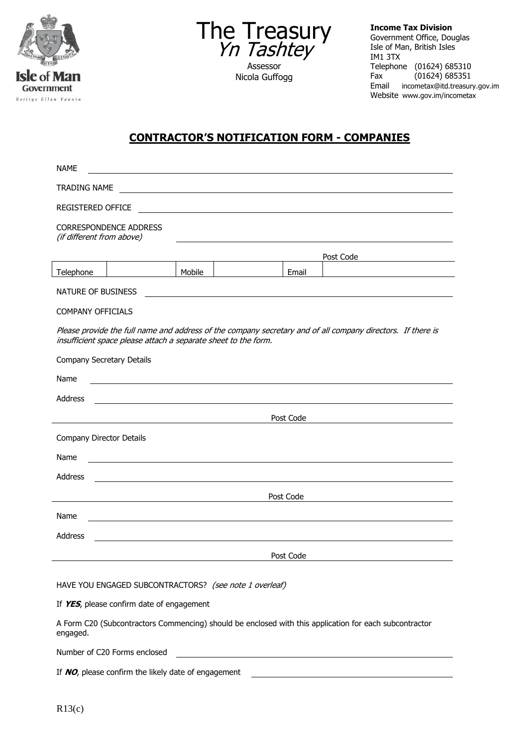



Nicola Guffogg

**Income Tax Division** Government Office, Douglas Isle of Man, British Isles IM1 3TX Telephone (01624) 685310<br>Fax (01624) 685351  $(01624)$  685351 Email incometax@itd.treasury.gov.im Website www.gov.im/incometax

## **CONTRACTOR'S NOTIFICATION FORM - COMPANIES**

| <b>NAME</b>                                                                                                                                                                   |                                                  |        |  |           |           |  |
|-------------------------------------------------------------------------------------------------------------------------------------------------------------------------------|--------------------------------------------------|--------|--|-----------|-----------|--|
| TRADING NAME                                                                                                                                                                  |                                                  |        |  |           |           |  |
| <b>REGISTERED OFFICE</b>                                                                                                                                                      |                                                  |        |  |           |           |  |
| <b>CORRESPONDENCE ADDRESS</b><br>(if different from above)                                                                                                                    |                                                  |        |  |           |           |  |
|                                                                                                                                                                               |                                                  |        |  |           | Post Code |  |
| Telephone                                                                                                                                                                     |                                                  | Mobile |  | Email     |           |  |
| NATURE OF BUSINESS<br><u> 1989 - Johann Barbara, marka a shekara tsa 1989 - An tsa 1989 - An tsa 1989 - An tsa 1989 - An tsa 1989 - An</u>                                    |                                                  |        |  |           |           |  |
| <b>COMPANY OFFICIALS</b>                                                                                                                                                      |                                                  |        |  |           |           |  |
| Please provide the full name and address of the company secretary and of all company directors. If there is<br>insufficient space please attach a separate sheet to the form. |                                                  |        |  |           |           |  |
| Company Secretary Details                                                                                                                                                     |                                                  |        |  |           |           |  |
| Name                                                                                                                                                                          | <u> 1989 - Andrea Barbara, política española</u> |        |  |           |           |  |
| Address                                                                                                                                                                       |                                                  |        |  |           |           |  |
|                                                                                                                                                                               | Post Code                                        |        |  |           |           |  |
| Company Director Details                                                                                                                                                      |                                                  |        |  |           |           |  |
| Name                                                                                                                                                                          |                                                  |        |  |           |           |  |
| Address                                                                                                                                                                       |                                                  |        |  |           |           |  |
| Post Code<br>the contract of the contract of the contract of the contract of the contract of the contract of the contract of                                                  |                                                  |        |  |           |           |  |
| Name                                                                                                                                                                          |                                                  |        |  |           |           |  |
| <b>Address</b>                                                                                                                                                                |                                                  |        |  |           |           |  |
|                                                                                                                                                                               |                                                  |        |  | Post Code |           |  |
|                                                                                                                                                                               |                                                  |        |  |           |           |  |
| HAVE YOU ENGAGED SUBCONTRACTORS? (see note 1 overleaf)                                                                                                                        |                                                  |        |  |           |           |  |
| If YES, please confirm date of engagement                                                                                                                                     |                                                  |        |  |           |           |  |
| A Form C20 (Subcontractors Commencing) should be enclosed with this application for each subcontractor                                                                        |                                                  |        |  |           |           |  |

Number of C20 Forms enclosed

If **NO**, please confirm the likely date of engagement

engaged.